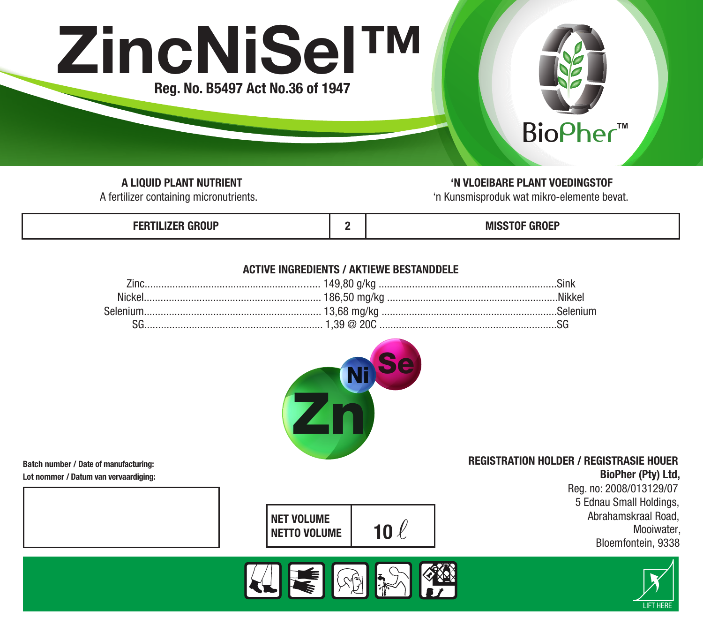

A LIQUID PLANT NUTRIENT<br>A fertilizer containing micronutrients. The state of the state of the Municipal Section of the Municipal Sectio<br>The Kunsmissroduk wat mikro-elemente be

'n Kunsmisproduk wat mikro-elemente bevat.

| ------<br>$\sim$ $\sim$ $\sim$ $\sim$ $\sim$ |  | $*** -***$<br>MIS<br>1ULI<br>.<br>. |
|----------------------------------------------|--|-------------------------------------|
|----------------------------------------------|--|-------------------------------------|

# ACTIVE INGREDIENTS / AKTIEWE BESTANDDELE



Batch number / Date of manufacturing:

Lot nommer / Datum van vervaardiging:

BioPher (Pty) Ltd, Reg. no: 2008/013129/07 5 Ednau Small Holdings, Abrahamskraal Road,

REGISTRATION HOLDER / REGISTRASIE HOUER

Mooiwater, Bloemfontein, 9338